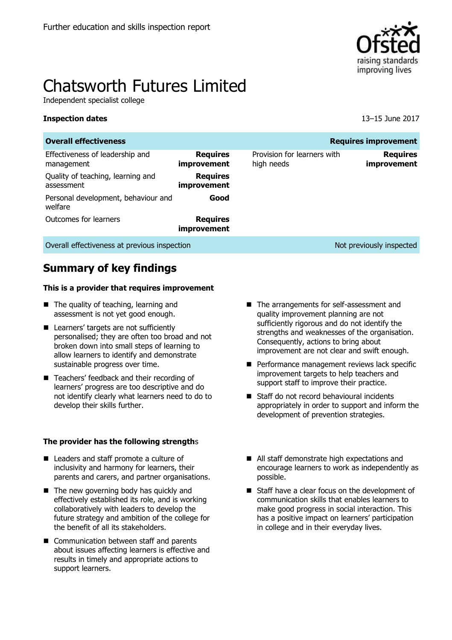

# Chatsworth Futures Limited

Independent specialist college

#### **Inspection dates** 13–15 June 2017

| <b>Overall effectiveness</b><br><b>Requires improvement</b> |                                |                                           |                                |  |  |  |  |
|-------------------------------------------------------------|--------------------------------|-------------------------------------------|--------------------------------|--|--|--|--|
| Effectiveness of leadership and<br>management               | <b>Requires</b><br>improvement | Provision for learners with<br>high needs | <b>Requires</b><br>improvement |  |  |  |  |
| Quality of teaching, learning and<br>assessment             | <b>Requires</b><br>improvement |                                           |                                |  |  |  |  |
| Personal development, behaviour and<br>welfare              | Good                           |                                           |                                |  |  |  |  |
| Outcomes for learners                                       | <b>Requires</b><br>improvement |                                           |                                |  |  |  |  |
| Overall effectiveness at previous inspection                |                                |                                           | Not previously inspected       |  |  |  |  |

# **Summary of key findings**

#### **This is a provider that requires improvement**

- The quality of teaching, learning and assessment is not yet good enough.
- **Learners' targets are not sufficiently** personalised; they are often too broad and not broken down into small steps of learning to allow learners to identify and demonstrate sustainable progress over time.
- Teachers' feedback and their recording of learners' progress are too descriptive and do not identify clearly what learners need to do to develop their skills further.

#### **The provider has the following strength**s

- Leaders and staff promote a culture of inclusivity and harmony for learners, their parents and carers, and partner organisations.
- The new governing body has quickly and effectively established its role, and is working collaboratively with leaders to develop the future strategy and ambition of the college for the benefit of all its stakeholders.
- Communication between staff and parents about issues affecting learners is effective and results in timely and appropriate actions to support learners.
- The arrangements for self-assessment and quality improvement planning are not sufficiently rigorous and do not identify the strengths and weaknesses of the organisation. Consequently, actions to bring about improvement are not clear and swift enough.
- Performance management reviews lack specific improvement targets to help teachers and support staff to improve their practice.
- Staff do not record behavioural incidents appropriately in order to support and inform the development of prevention strategies.
- All staff demonstrate high expectations and encourage learners to work as independently as possible.
- Staff have a clear focus on the development of communication skills that enables learners to make good progress in social interaction. This has a positive impact on learners' participation in college and in their everyday lives.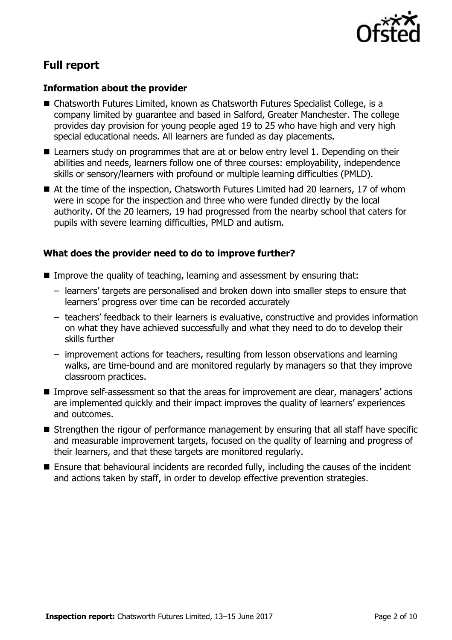

# **Full report**

#### **Information about the provider**

- Chatsworth Futures Limited, known as Chatsworth Futures Specialist College, is a company limited by guarantee and based in Salford, Greater Manchester. The college provides day provision for young people aged 19 to 25 who have high and very high special educational needs. All learners are funded as day placements.
- Learners study on programmes that are at or below entry level 1. Depending on their abilities and needs, learners follow one of three courses: employability, independence skills or sensory/learners with profound or multiple learning difficulties (PMLD).
- At the time of the inspection, Chatsworth Futures Limited had 20 learners, 17 of whom were in scope for the inspection and three who were funded directly by the local authority. Of the 20 learners, 19 had progressed from the nearby school that caters for pupils with severe learning difficulties, PMLD and autism.

#### **What does the provider need to do to improve further?**

- Improve the quality of teaching, learning and assessment by ensuring that:
	- learners' targets are personalised and broken down into smaller steps to ensure that learners' progress over time can be recorded accurately
	- teachers' feedback to their learners is evaluative, constructive and provides information on what they have achieved successfully and what they need to do to develop their skills further
	- improvement actions for teachers, resulting from lesson observations and learning walks, are time-bound and are monitored regularly by managers so that they improve classroom practices.
- Improve self-assessment so that the areas for improvement are clear, managers' actions are implemented quickly and their impact improves the quality of learners' experiences and outcomes.
- Strengthen the rigour of performance management by ensuring that all staff have specific and measurable improvement targets, focused on the quality of learning and progress of their learners, and that these targets are monitored regularly.
- Ensure that behavioural incidents are recorded fully, including the causes of the incident and actions taken by staff, in order to develop effective prevention strategies.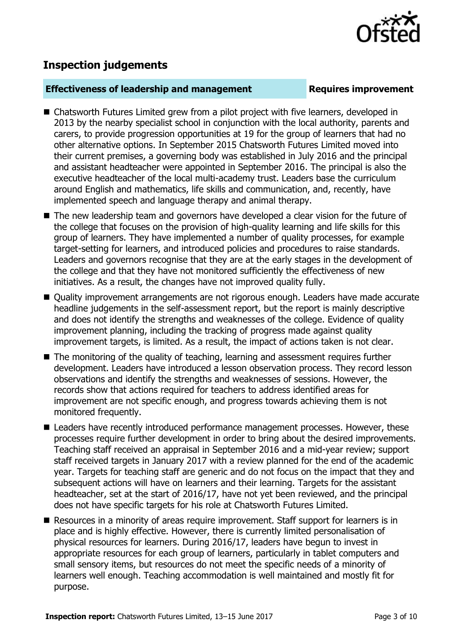

# **Inspection judgements**

#### **Effectiveness of leadership and management Requires improvement**

- Chatsworth Futures Limited grew from a pilot project with five learners, developed in 2013 by the nearby specialist school in conjunction with the local authority, parents and carers, to provide progression opportunities at 19 for the group of learners that had no other alternative options. In September 2015 Chatsworth Futures Limited moved into their current premises, a governing body was established in July 2016 and the principal and assistant headteacher were appointed in September 2016. The principal is also the executive headteacher of the local multi-academy trust. Leaders base the curriculum around English and mathematics, life skills and communication, and, recently, have implemented speech and language therapy and animal therapy.
- The new leadership team and governors have developed a clear vision for the future of the college that focuses on the provision of high-quality learning and life skills for this group of learners. They have implemented a number of quality processes, for example target-setting for learners, and introduced policies and procedures to raise standards. Leaders and governors recognise that they are at the early stages in the development of the college and that they have not monitored sufficiently the effectiveness of new initiatives. As a result, the changes have not improved quality fully.
- Quality improvement arrangements are not rigorous enough. Leaders have made accurate headline judgements in the self-assessment report, but the report is mainly descriptive and does not identify the strengths and weaknesses of the college. Evidence of quality improvement planning, including the tracking of progress made against quality improvement targets, is limited. As a result, the impact of actions taken is not clear.
- The monitoring of the quality of teaching, learning and assessment requires further development. Leaders have introduced a lesson observation process. They record lesson observations and identify the strengths and weaknesses of sessions. However, the records show that actions required for teachers to address identified areas for improvement are not specific enough, and progress towards achieving them is not monitored frequently.
- Leaders have recently introduced performance management processes. However, these processes require further development in order to bring about the desired improvements. Teaching staff received an appraisal in September 2016 and a mid-year review; support staff received targets in January 2017 with a review planned for the end of the academic year. Targets for teaching staff are generic and do not focus on the impact that they and subsequent actions will have on learners and their learning. Targets for the assistant headteacher, set at the start of 2016/17, have not yet been reviewed, and the principal does not have specific targets for his role at Chatsworth Futures Limited.
- Resources in a minority of areas require improvement. Staff support for learners is in place and is highly effective. However, there is currently limited personalisation of physical resources for learners. During 2016/17, leaders have begun to invest in appropriate resources for each group of learners, particularly in tablet computers and small sensory items, but resources do not meet the specific needs of a minority of learners well enough. Teaching accommodation is well maintained and mostly fit for purpose.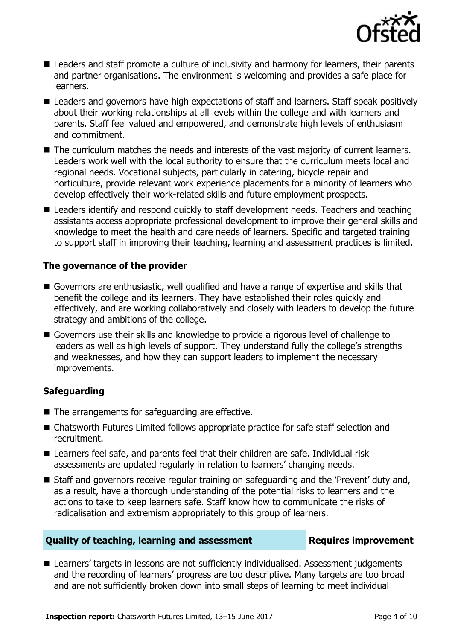

- Leaders and staff promote a culture of inclusivity and harmony for learners, their parents and partner organisations. The environment is welcoming and provides a safe place for learners.
- Leaders and governors have high expectations of staff and learners. Staff speak positively about their working relationships at all levels within the college and with learners and parents. Staff feel valued and empowered, and demonstrate high levels of enthusiasm and commitment.
- The curriculum matches the needs and interests of the vast majority of current learners. Leaders work well with the local authority to ensure that the curriculum meets local and regional needs. Vocational subjects, particularly in catering, bicycle repair and horticulture, provide relevant work experience placements for a minority of learners who develop effectively their work-related skills and future employment prospects.
- Leaders identify and respond quickly to staff development needs. Teachers and teaching assistants access appropriate professional development to improve their general skills and knowledge to meet the health and care needs of learners. Specific and targeted training to support staff in improving their teaching, learning and assessment practices is limited.

### **The governance of the provider**

- Governors are enthusiastic, well qualified and have a range of expertise and skills that benefit the college and its learners. They have established their roles quickly and effectively, and are working collaboratively and closely with leaders to develop the future strategy and ambitions of the college.
- Governors use their skills and knowledge to provide a rigorous level of challenge to leaders as well as high levels of support. They understand fully the college's strengths and weaknesses, and how they can support leaders to implement the necessary improvements.

### **Safeguarding**

- The arrangements for safeguarding are effective.
- Chatsworth Futures Limited follows appropriate practice for safe staff selection and recruitment.
- Learners feel safe, and parents feel that their children are safe. Individual risk assessments are updated regularly in relation to learners' changing needs.
- Staff and governors receive regular training on safeguarding and the 'Prevent' duty and, as a result, have a thorough understanding of the potential risks to learners and the actions to take to keep learners safe. Staff know how to communicate the risks of radicalisation and extremism appropriately to this group of learners.

#### **Quality of teaching, learning and assessment Requires improvement**

■ Learners' targets in lessons are not sufficiently individualised. Assessment judgements and the recording of learners' progress are too descriptive. Many targets are too broad and are not sufficiently broken down into small steps of learning to meet individual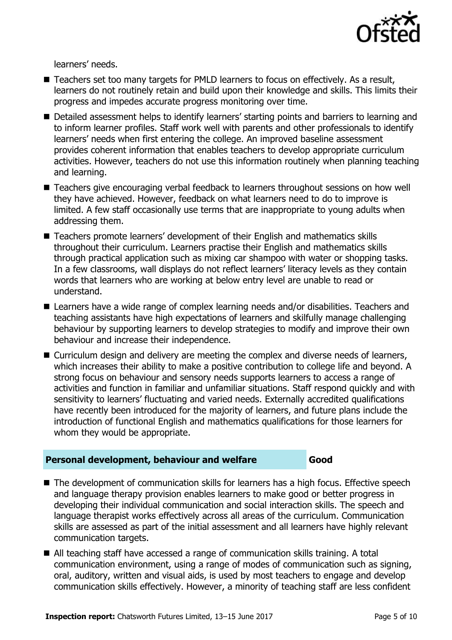

learners' needs.

- Teachers set too many targets for PMLD learners to focus on effectively. As a result, learners do not routinely retain and build upon their knowledge and skills. This limits their progress and impedes accurate progress monitoring over time.
- Detailed assessment helps to identify learners' starting points and barriers to learning and to inform learner profiles. Staff work well with parents and other professionals to identify learners' needs when first entering the college. An improved baseline assessment provides coherent information that enables teachers to develop appropriate curriculum activities. However, teachers do not use this information routinely when planning teaching and learning.
- Teachers give encouraging verbal feedback to learners throughout sessions on how well they have achieved. However, feedback on what learners need to do to improve is limited. A few staff occasionally use terms that are inappropriate to young adults when addressing them.
- Teachers promote learners' development of their English and mathematics skills throughout their curriculum. Learners practise their English and mathematics skills through practical application such as mixing car shampoo with water or shopping tasks. In a few classrooms, wall displays do not reflect learners' literacy levels as they contain words that learners who are working at below entry level are unable to read or understand.
- Learners have a wide range of complex learning needs and/or disabilities. Teachers and teaching assistants have high expectations of learners and skilfully manage challenging behaviour by supporting learners to develop strategies to modify and improve their own behaviour and increase their independence.
- Curriculum design and delivery are meeting the complex and diverse needs of learners, which increases their ability to make a positive contribution to college life and beyond. A strong focus on behaviour and sensory needs supports learners to access a range of activities and function in familiar and unfamiliar situations. Staff respond quickly and with sensitivity to learners' fluctuating and varied needs. Externally accredited qualifications have recently been introduced for the majority of learners, and future plans include the introduction of functional English and mathematics qualifications for those learners for whom they would be appropriate.

#### **Personal development, behaviour and welfare Good**

- The development of communication skills for learners has a high focus. Effective speech and language therapy provision enables learners to make good or better progress in developing their individual communication and social interaction skills. The speech and language therapist works effectively across all areas of the curriculum. Communication skills are assessed as part of the initial assessment and all learners have highly relevant communication targets.
- All teaching staff have accessed a range of communication skills training. A total communication environment, using a range of modes of communication such as signing, oral, auditory, written and visual aids, is used by most teachers to engage and develop communication skills effectively. However, a minority of teaching staff are less confident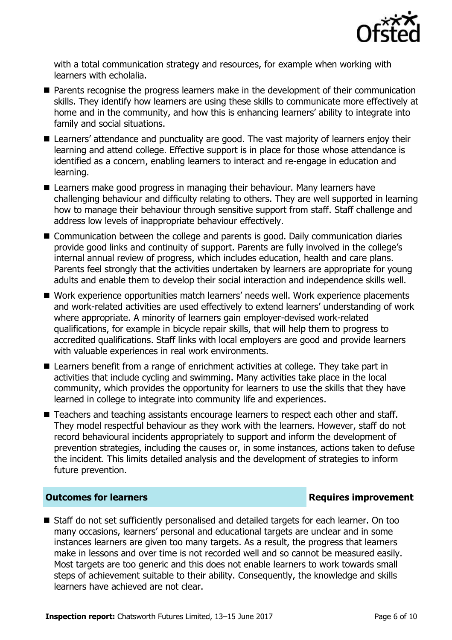

with a total communication strategy and resources, for example when working with learners with echolalia.

- **Parents recognise the progress learners make in the development of their communication** skills. They identify how learners are using these skills to communicate more effectively at home and in the community, and how this is enhancing learners' ability to integrate into family and social situations.
- Learners' attendance and punctuality are good. The vast majority of learners enjoy their learning and attend college. Effective support is in place for those whose attendance is identified as a concern, enabling learners to interact and re-engage in education and learning.
- Learners make good progress in managing their behaviour. Many learners have challenging behaviour and difficulty relating to others. They are well supported in learning how to manage their behaviour through sensitive support from staff. Staff challenge and address low levels of inappropriate behaviour effectively.
- Communication between the college and parents is good. Daily communication diaries provide good links and continuity of support. Parents are fully involved in the college's internal annual review of progress, which includes education, health and care plans. Parents feel strongly that the activities undertaken by learners are appropriate for young adults and enable them to develop their social interaction and independence skills well.
- Work experience opportunities match learners' needs well. Work experience placements and work-related activities are used effectively to extend learners' understanding of work where appropriate. A minority of learners gain employer-devised work-related qualifications, for example in bicycle repair skills, that will help them to progress to accredited qualifications. Staff links with local employers are good and provide learners with valuable experiences in real work environments.
- Learners benefit from a range of enrichment activities at college. They take part in activities that include cycling and swimming. Many activities take place in the local community, which provides the opportunity for learners to use the skills that they have learned in college to integrate into community life and experiences.
- Teachers and teaching assistants encourage learners to respect each other and staff. They model respectful behaviour as they work with the learners. However, staff do not record behavioural incidents appropriately to support and inform the development of prevention strategies, including the causes or, in some instances, actions taken to defuse the incident. This limits detailed analysis and the development of strategies to inform future prevention.

### **Outcomes for learners Requires improvement**

■ Staff do not set sufficiently personalised and detailed targets for each learner. On too many occasions, learners' personal and educational targets are unclear and in some instances learners are given too many targets. As a result, the progress that learners make in lessons and over time is not recorded well and so cannot be measured easily. Most targets are too generic and this does not enable learners to work towards small steps of achievement suitable to their ability. Consequently, the knowledge and skills learners have achieved are not clear.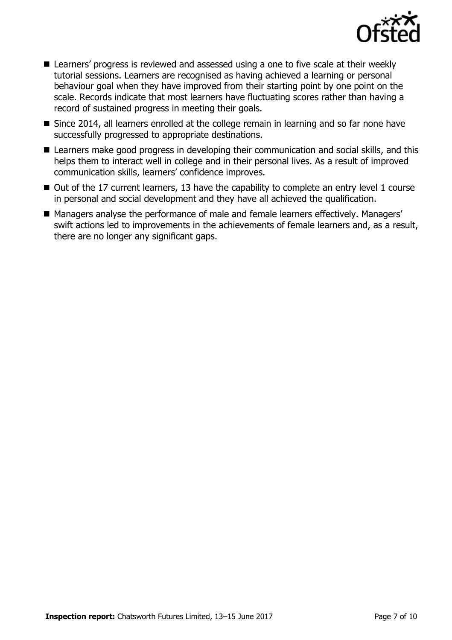

- Learners' progress is reviewed and assessed using a one to five scale at their weekly tutorial sessions. Learners are recognised as having achieved a learning or personal behaviour goal when they have improved from their starting point by one point on the scale. Records indicate that most learners have fluctuating scores rather than having a record of sustained progress in meeting their goals.
- Since 2014, all learners enrolled at the college remain in learning and so far none have successfully progressed to appropriate destinations.
- Learners make good progress in developing their communication and social skills, and this helps them to interact well in college and in their personal lives. As a result of improved communication skills, learners' confidence improves.
- Out of the 17 current learners, 13 have the capability to complete an entry level 1 course in personal and social development and they have all achieved the qualification.
- Managers analyse the performance of male and female learners effectively. Managers' swift actions led to improvements in the achievements of female learners and, as a result, there are no longer any significant gaps.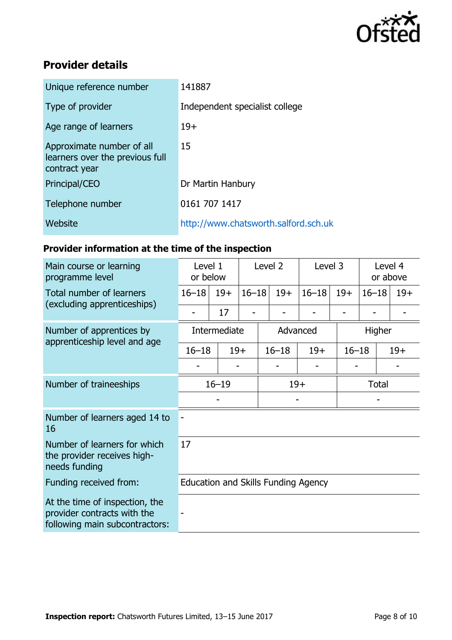

# **Provider details**

| Unique reference number                                                       | 141887                               |
|-------------------------------------------------------------------------------|--------------------------------------|
| Type of provider                                                              | Independent specialist college       |
| Age range of learners                                                         | $19+$                                |
| Approximate number of all<br>learners over the previous full<br>contract year | 15                                   |
| Principal/CEO                                                                 | Dr Martin Hanbury                    |
| Telephone number                                                              | 0161 707 1417                        |
| Website                                                                       | http://www.chatsworth.salford.sch.uk |
|                                                                               |                                      |

# **Provider information at the time of the inspection**

| Main course or learning<br>programme level                                                      | Level 1<br>or below                 |       | Level 2   |           | Level 3 |           | Level 4<br>or above |                    |       |
|-------------------------------------------------------------------------------------------------|-------------------------------------|-------|-----------|-----------|---------|-----------|---------------------|--------------------|-------|
| Total number of learners                                                                        | $16 - 18$                           | $19+$ | $16 - 18$ |           | $19+$   | $16 - 18$ | $19+$               | $16 - 18$          | $19+$ |
| (excluding apprenticeships)                                                                     |                                     | 17    |           |           |         |           |                     |                    |       |
| Number of apprentices by                                                                        | Intermediate                        |       | Advanced  |           |         |           | Higher              |                    |       |
| apprenticeship level and age                                                                    | $16 - 18$                           | $19+$ |           | $16 - 18$ |         | $19+$     |                     | $16 - 18$<br>$19+$ |       |
|                                                                                                 |                                     |       |           |           |         |           |                     |                    |       |
| Number of traineeships                                                                          | $16 - 19$                           |       |           | $19+$     |         |           |                     | <b>Total</b>       |       |
|                                                                                                 |                                     |       |           |           |         |           |                     |                    |       |
| Number of learners aged 14 to<br>16                                                             |                                     |       |           |           |         |           |                     |                    |       |
| Number of learners for which<br>the provider receives high-<br>needs funding                    | 17                                  |       |           |           |         |           |                     |                    |       |
| Funding received from:                                                                          | Education and Skills Funding Agency |       |           |           |         |           |                     |                    |       |
| At the time of inspection, the<br>provider contracts with the<br>following main subcontractors: |                                     |       |           |           |         |           |                     |                    |       |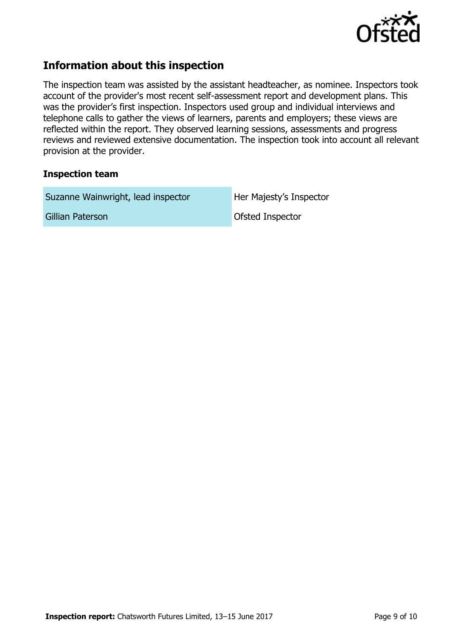

# **Information about this inspection**

The inspection team was assisted by the assistant headteacher, as nominee. Inspectors took account of the provider's most recent self-assessment report and development plans. This was the provider's first inspection. Inspectors used group and individual interviews and telephone calls to gather the views of learners, parents and employers; these views are reflected within the report. They observed learning sessions, assessments and progress reviews and reviewed extensive documentation. The inspection took into account all relevant provision at the provider.

#### **Inspection team**

Suzanne Wainwright, lead inspector **Her Majesty's Inspector** 

Gillian Paterson **Constanting Constanting Constanting Constanting Constanting Constanting Constanting Constanting Constanting Constanting Constanting Constanting Constanting Constanting Constanting Constanting Constanting**